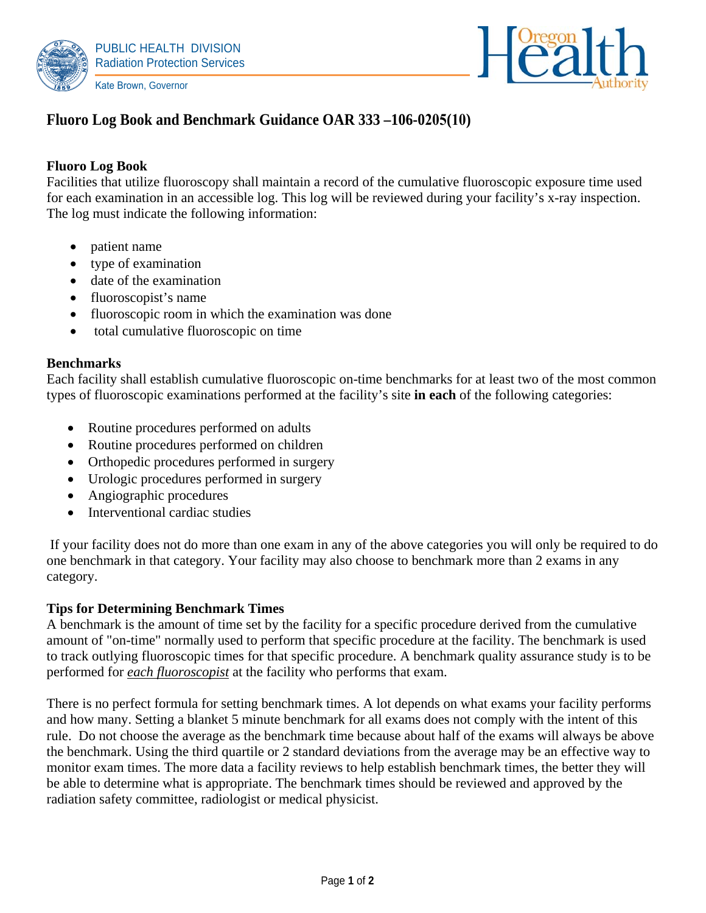



# **Fluoro Log Book and Benchmark Guidance OAR 333 –106-0205(10)**

## **Fluoro Log Book**

Facilities that utilize fluoroscopy shall maintain a record of the cumulative fluoroscopic exposure time used for each examination in an accessible log. This log will be reviewed during your facility's x-ray inspection. The log must indicate the following information:

- patient name
- type of examination
- date of the examination
- fluoroscopist's name
- fluoroscopic room in which the examination was done
- total cumulative fluoroscopic on time

#### **Benchmarks**

Each facility shall establish cumulative fluoroscopic on-time benchmarks for at least two of the most common types of fluoroscopic examinations performed at the facility's site **in each** of the following categories:

- Routine procedures performed on adults
- Routine procedures performed on children
- Orthopedic procedures performed in surgery
- Urologic procedures performed in surgery
- Angiographic procedures
- Interventional cardiac studies

 If your facility does not do more than one exam in any of the above categories you will only be required to do one benchmark in that category. Your facility may also choose to benchmark more than 2 exams in any category.

#### **Tips for Determining Benchmark Times**

A benchmark is the amount of time set by the facility for a specific procedure derived from the cumulative amount of "on-time" normally used to perform that specific procedure at the facility. The benchmark is used to track outlying fluoroscopic times for that specific procedure. A benchmark quality assurance study is to be performed for *each fluoroscopist* at the facility who performs that exam.

There is no perfect formula for setting benchmark times. A lot depends on what exams your facility performs and how many. Setting a blanket 5 minute benchmark for all exams does not comply with the intent of this rule. Do not choose the average as the benchmark time because about half of the exams will always be above the benchmark. Using the third quartile or 2 standard deviations from the average may be an effective way to monitor exam times. The more data a facility reviews to help establish benchmark times, the better they will be able to determine what is appropriate. The benchmark times should be reviewed and approved by the radiation safety committee, radiologist or medical physicist.